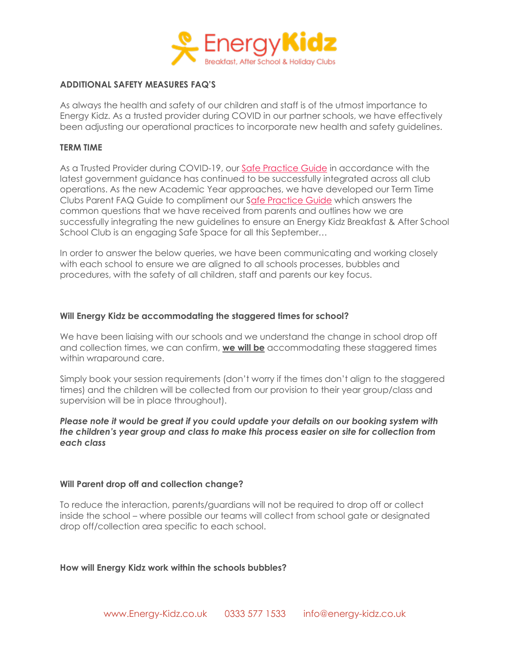

# **ADDITIONAL SAFETY MEASURES FAQ'S**

As always the health and safety of our children and staff is of the utmost importance to Energy Kidz. As a trusted provider during COVID in our partner schools, we have effectively been adjusting our operational practices to incorporate new health and safety guidelines.

#### **TERM TIME**

As a Trusted Provider during COVID-19, our [Safe Practice Guide](https://www.energy-kidz.co.uk/wp-content/uploads/2020/08/Safe-Practice-Guide-TT-06.08.pdf) in accordance with the latest government guidance has continued to be successfully integrated across all club operations. As the new Academic Year approaches, we have developed our Term Time Clubs Parent FAQ Guide to compliment our [Safe Practice Guide](https://www.energy-kidz.co.uk/wp-content/uploads/2020/08/Safe-Practice-Guide-TT-06.08.pdf) which answers the common questions that we have received from parents and outlines how we are successfully integrating the new guidelines to ensure an Energy Kidz Breakfast & After School School Club is an engaging Safe Space for all this September…

In order to answer the below queries, we have been communicating and working closely with each school to ensure we are aligned to all schools processes, bubbles and procedures, with the safety of all children, staff and parents our key focus.

## **Will Energy Kidz be accommodating the staggered times for school?**

We have been liaising with our schools and we understand the change in school drop off and collection times, we can confirm, **we will be** accommodating these staggered times within wraparound care.

Simply book your session requirements (don't worry if the times don't align to the staggered times) and the children will be collected from our provision to their year group/class and supervision will be in place throughout).

# *Please note it would be great if you could update your details on our booking system with the children's year group and class to make this process easier on site for collection from each class*

## **Will Parent drop off and collection change?**

To reduce the interaction, parents/guardians will not be required to drop off or collect inside the school – where possible our teams will collect from school gate or designated drop off/collection area specific to each school.

## **How will Energy Kidz work within the schools bubbles?**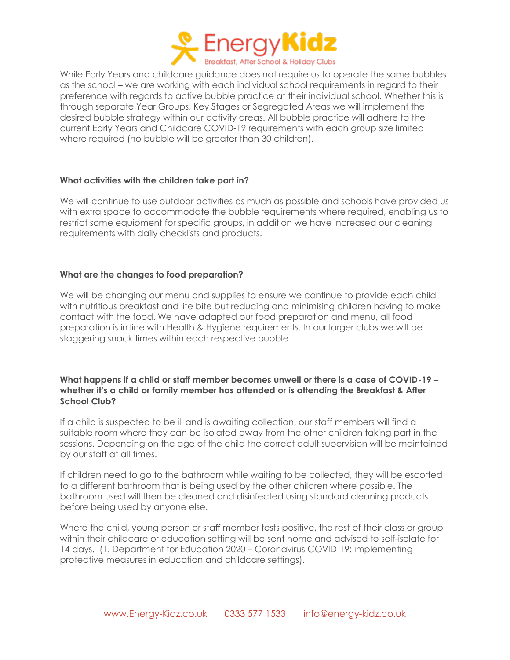

While Early Years and childcare guidance does not require us to operate the same bubbles as the school – we are working with each individual school requirements in regard to their preference with regards to active bubble practice at their individual school. Whether this is through separate Year Groups, Key Stages or Segregated Areas we will implement the desired bubble strategy within our activity areas. All bubble practice will adhere to the current Early Years and Childcare COVID-19 requirements with each group size limited where required (no bubble will be greater than 30 children).

# **What activities with the children take part in?**

We will continue to use outdoor activities as much as possible and schools have provided us with extra space to accommodate the bubble requirements where required, enabling us to restrict some equipment for specific groups, in addition we have increased our cleaning requirements with daily checklists and products.

# **What are the changes to food preparation?**

We will be changing our menu and supplies to ensure we continue to provide each child with nutritious breakfast and lite bite but reducing and minimising children having to make contact with the food. We have adapted our food preparation and menu, all food preparation is in line with Health & Hygiene requirements. In our larger clubs we will be staggering snack times within each respective bubble.

# **What happens if a child or staff member becomes unwell or there is a case of COVID-19 – whether it's a child or family member has attended or is attending the Breakfast & After School Club?**

If a child is suspected to be ill and is awaiting collection, our staff members will find a suitable room where they can be isolated away from the other children taking part in the sessions. Depending on the age of the child the correct adult supervision will be maintained by our staff at all times.

If children need to go to the bathroom while waiting to be collected, they will be escorted to a different bathroom that is being used by the other children where possible. The bathroom used will then be cleaned and disinfected using standard cleaning products before being used by anyone else.

Where the child, young person or staff member tests positive, the rest of their class or group within their childcare or education setting will be sent home and advised to self-isolate for 14 days. (1. Department for Education 2020 – Coronavirus COVID-19: implementing protective measures in education and childcare settings).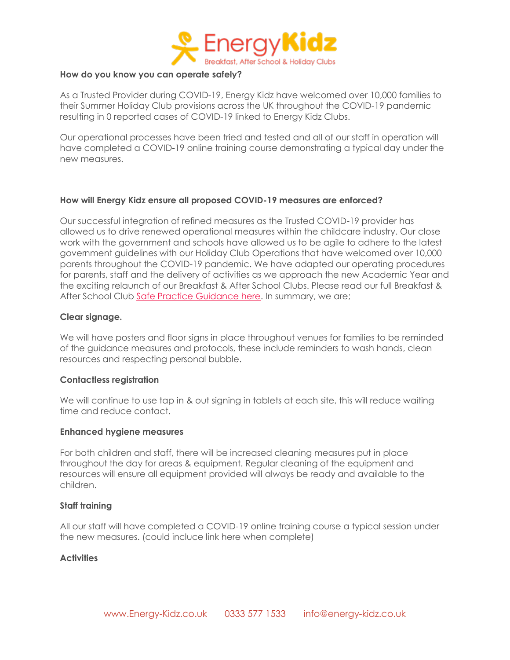

## **How do you know you can operate safely?**

As a Trusted Provider during COVID-19, Energy Kidz have welcomed over 10,000 families to their Summer Holiday Club provisions across the UK throughout the COVID-19 pandemic resulting in 0 reported cases of COVID-19 linked to Energy Kidz Clubs.

Our operational processes have been tried and tested and all of our staff in operation will have completed a COVID-19 online training course demonstrating a typical day under the new measures.

## **How will Energy Kidz ensure all proposed COVID-19 measures are enforced?**

Our successful integration of refined measures as the Trusted COVID-19 provider has allowed us to drive renewed operational measures within the childcare industry. Our close work with the government and schools have allowed us to be agile to adhere to the latest government guidelines with our Holiday Club Operations that have welcomed over 10,000 parents throughout the COVID-19 pandemic. We have adapted our operating procedures for parents, staff and the delivery of activities as we approach the new Academic Year and the exciting relaunch of our Breakfast & After School Clubs. Please read our full Breakfast & After School Club [Safe Practice Guidance here.](https://www.energy-kidz.co.uk/wp-content/uploads/2020/08/Safe-Practice-Guide-TT-06.08.pdf) In summary, we are;

## **Clear signage.**

We will have posters and floor signs in place throughout venues for families to be reminded of the guidance measures and protocols, these include reminders to wash hands, clean resources and respecting personal bubble.

#### **Contactless registration**

We will continue to use tap in & out signing in tablets at each site, this will reduce waiting time and reduce contact.

#### **Enhanced hygiene measures**

For both children and staff, there will be increased cleaning measures put in place throughout the day for areas & equipment. Regular cleaning of the equipment and resources will ensure all equipment provided will always be ready and available to the children.

#### **Staff training**

All our staff will have completed a COVID-19 online training course a typical session under the new measures. (could incluce link here when complete)

## **Activities**